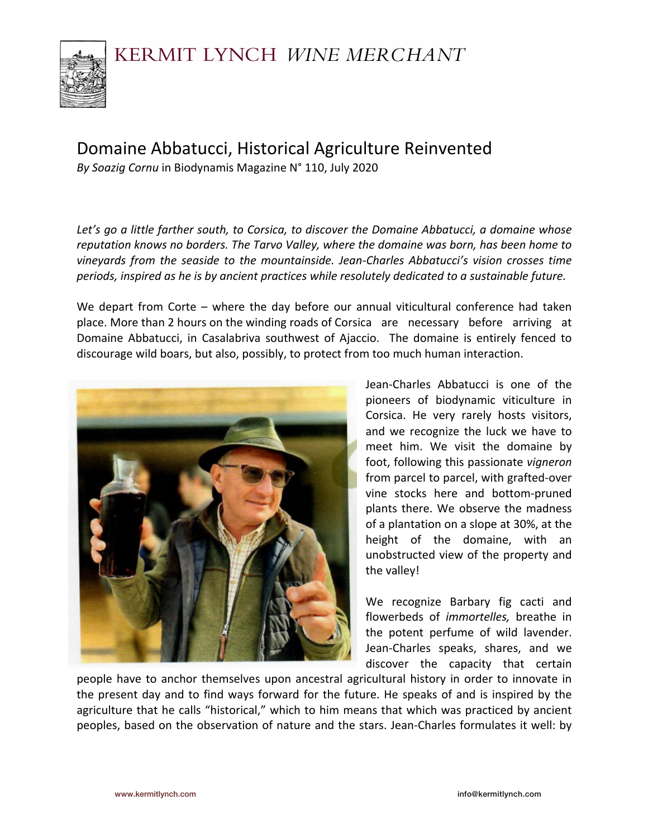

# Domaine Abbatucci, Historical Agriculture Reinvented

*By Soazig Cornu* in Biodynamis Magazine N° 110, July 2020

*Let's go a little farther south, to Corsica, to discover the Domaine Abbatucci, a domaine whose reputation knows no borders. The Tarvo Valley, where the domaine was born, has been home to vineyards from the seaside to the mountainside. Jean-Charles Abbatucci's vision crosses time periods, inspired as he is by ancient practices while resolutely dedicated to a sustainable future.* 

We depart from Corte – where the day before our annual viticultural conference had taken place. More than 2 hours on the winding roads of Corsica are necessary before arriving at Domaine Abbatucci, in Casalabriva southwest of Ajaccio. The domaine is entirely fenced to discourage wild boars, but also, possibly, to protect from too much human interaction.



Jean-Charles Abbatucci is one of the pioneers of biodynamic viticulture in Corsica. He very rarely hosts visitors, and we recognize the luck we have to meet him. We visit the domaine by foot, following this passionate *vigneron* from parcel to parcel, with grafted-over vine stocks here and bottom-pruned plants there. We observe the madness of a plantation on a slope at 30%, at the height of the domaine, with an unobstructed view of the property and the valley!

We recognize Barbary fig cacti and flowerbeds of *immortelles,* breathe in the potent perfume of wild lavender. Jean-Charles speaks, shares, and we discover the capacity that certain

people have to anchor themselves upon ancestral agricultural history in order to innovate in the present day and to find ways forward for the future. He speaks of and is inspired by the agriculture that he calls "historical," which to him means that which was practiced by ancient peoples, based on the observation of nature and the stars. Jean-Charles formulates it well: by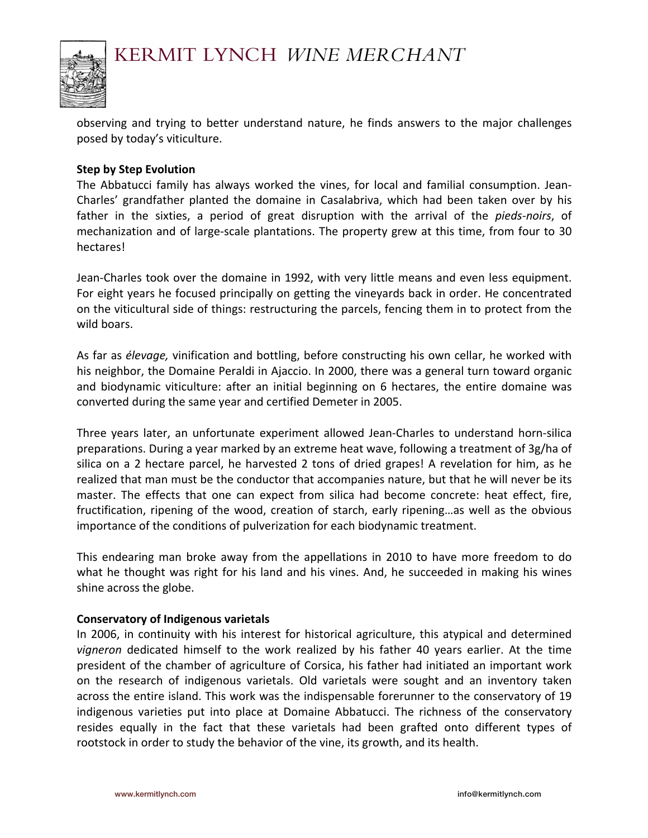

observing and trying to better understand nature, he finds answers to the major challenges posed by today's viticulture.

### **Step by Step Evolution**

The Abbatucci family has always worked the vines, for local and familial consumption. Jean-Charles' grandfather planted the domaine in Casalabriva, which had been taken over by his father in the sixties, a period of great disruption with the arrival of the *pieds-noirs*, of mechanization and of large-scale plantations. The property grew at this time, from four to 30 hectares!

Jean-Charles took over the domaine in 1992, with very little means and even less equipment. For eight years he focused principally on getting the vineyards back in order. He concentrated on the viticultural side of things: restructuring the parcels, fencing them in to protect from the wild boars.

As far as *élevage,* vinification and bottling, before constructing his own cellar, he worked with his neighbor, the Domaine Peraldi in Ajaccio. In 2000, there was a general turn toward organic and biodynamic viticulture: after an initial beginning on 6 hectares, the entire domaine was converted during the same year and certified Demeter in 2005.

Three years later, an unfortunate experiment allowed Jean-Charles to understand horn-silica preparations. During a year marked by an extreme heat wave, following a treatment of 3g/ha of silica on a 2 hectare parcel, he harvested 2 tons of dried grapes! A revelation for him, as he realized that man must be the conductor that accompanies nature, but that he will never be its master. The effects that one can expect from silica had become concrete: heat effect, fire, fructification, ripening of the wood, creation of starch, early ripening…as well as the obvious importance of the conditions of pulverization for each biodynamic treatment.

This endearing man broke away from the appellations in 2010 to have more freedom to do what he thought was right for his land and his vines. And, he succeeded in making his wines shine across the globe.

#### **Conservatory of Indigenous varietals**

In 2006, in continuity with his interest for historical agriculture, this atypical and determined *vigneron* dedicated himself to the work realized by his father 40 years earlier. At the time president of the chamber of agriculture of Corsica, his father had initiated an important work on the research of indigenous varietals. Old varietals were sought and an inventory taken across the entire island. This work was the indispensable forerunner to the conservatory of 19 indigenous varieties put into place at Domaine Abbatucci. The richness of the conservatory resides equally in the fact that these varietals had been grafted onto different types of rootstock in order to study the behavior of the vine, its growth, and its health.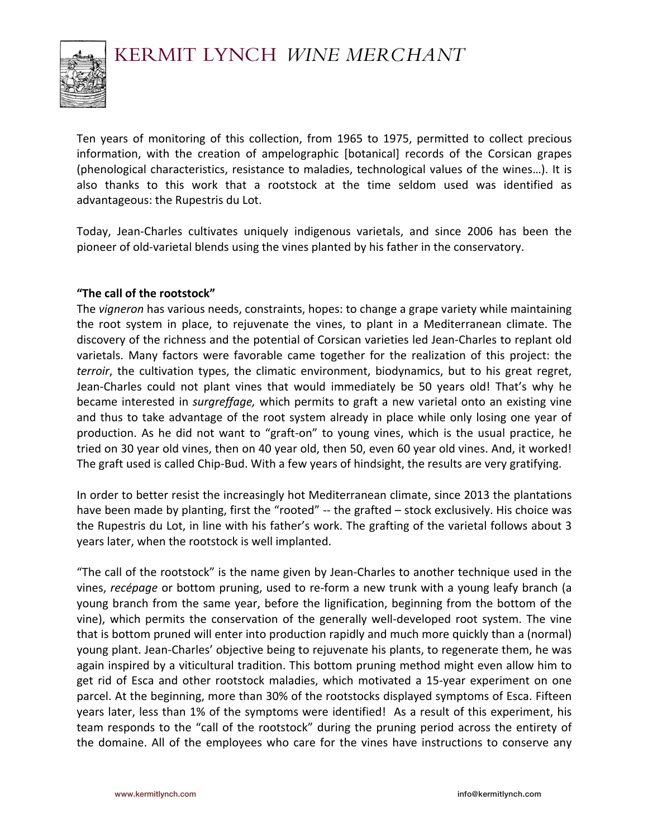

Ten years of monitoring of this collection, from 1965 to 1975, permitted to collect precious information, with the creation of ampelographic [botanical] records of the Corsican grapes (phenological characteristics, resistance to maladies, technological values of the wines…). It is also thanks to this work that a rootstock at the time seldom used was identified as advantageous: the Rupestris du Lot.

Today, Jean-Charles cultivates uniquely indigenous varietals, and since 2006 has been the pioneer of old-varietal blends using the vines planted by his father in the conservatory.

# **"The call of the rootstock"**

The *vigneron* has various needs, constraints, hopes: to change a grape variety while maintaining the root system in place, to rejuvenate the vines, to plant in a Mediterranean climate. The discovery of the richness and the potential of Corsican varieties led Jean-Charles to replant old varietals. Many factors were favorable came together for the realization of this project: the *terroir*, the cultivation types, the climatic environment, biodynamics, but to his great regret, Jean-Charles could not plant vines that would immediately be 50 years old! That's why he became interested in *surgreffage,* which permits to graft a new varietal onto an existing vine and thus to take advantage of the root system already in place while only losing one year of production. As he did not want to "graft-on" to young vines, which is the usual practice, he tried on 30 year old vines, then on 40 year old, then 50, even 60 year old vines. And, it worked! The graft used is called Chip-Bud. With a few years of hindsight, the results are very gratifying.

In order to better resist the increasingly hot Mediterranean climate, since 2013 the plantations have been made by planting, first the "rooted" -- the grafted - stock exclusively. His choice was the Rupestris du Lot, in line with his father's work. The grafting of the varietal follows about 3 years later, when the rootstock is well implanted.

"The call of the rootstock" is the name given by Jean-Charles to another technique used in the vines, *recépage* or bottom pruning, used to re-form a new trunk with a young leafy branch (a young branch from the same year, before the lignification, beginning from the bottom of the vine), which permits the conservation of the generally well-developed root system. The vine that is bottom pruned will enter into production rapidly and much more quickly than a (normal) young plant. Jean-Charles' objective being to rejuvenate his plants, to regenerate them, he was again inspired by a viticultural tradition. This bottom pruning method might even allow him to get rid of Esca and other rootstock maladies, which motivated a 15-year experiment on one parcel. At the beginning, more than 30% of the rootstocks displayed symptoms of Esca. Fifteen years later, less than 1% of the symptoms were identified! As a result of this experiment, his team responds to the "call of the rootstock" during the pruning period across the entirety of the domaine. All of the employees who care for the vines have instructions to conserve any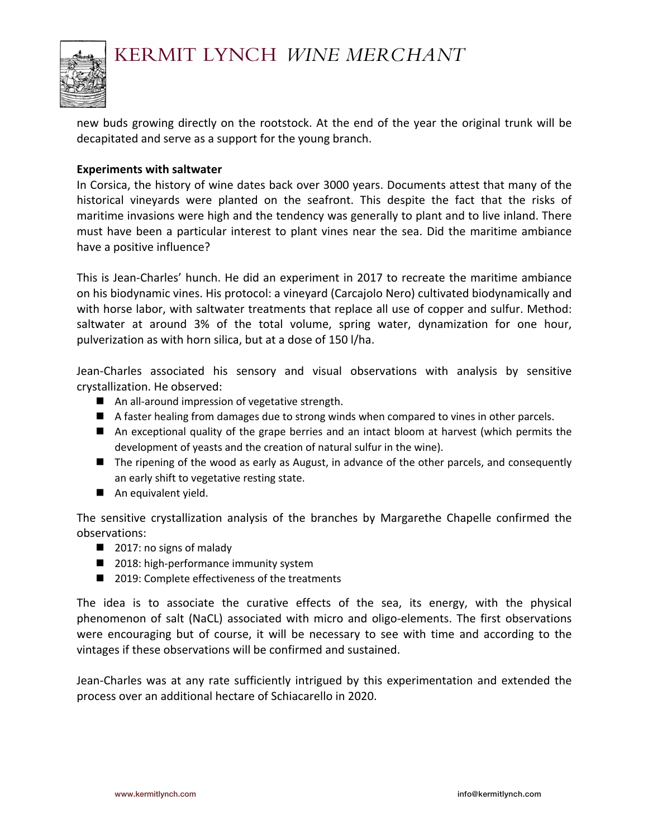

new buds growing directly on the rootstock. At the end of the year the original trunk will be decapitated and serve as a support for the young branch.

### **Experiments with saltwater**

In Corsica, the history of wine dates back over 3000 years. Documents attest that many of the historical vineyards were planted on the seafront. This despite the fact that the risks of maritime invasions were high and the tendency was generally to plant and to live inland. There must have been a particular interest to plant vines near the sea. Did the maritime ambiance have a positive influence?

This is Jean-Charles' hunch. He did an experiment in 2017 to recreate the maritime ambiance on his biodynamic vines. His protocol: a vineyard (Carcajolo Nero) cultivated biodynamically and with horse labor, with saltwater treatments that replace all use of copper and sulfur. Method: saltwater at around 3% of the total volume, spring water, dynamization for one hour, pulverization as with horn silica, but at a dose of 150 l/ha.

Jean-Charles associated his sensory and visual observations with analysis by sensitive crystallization. He observed:

- $\blacksquare$  An all-around impression of vegetative strength.
- A faster healing from damages due to strong winds when compared to vines in other parcels.
- $\blacksquare$  An exceptional quality of the grape berries and an intact bloom at harvest (which permits the development of yeasts and the creation of natural sulfur in the wine).
- $\blacksquare$  The ripening of the wood as early as August, in advance of the other parcels, and consequently an early shift to vegetative resting state.
- **n** An equivalent yield.

The sensitive crystallization analysis of the branches by Margarethe Chapelle confirmed the observations:

- $\Box$  2017: no signs of malady
- $\blacksquare$  2018: high-performance immunity system
- 2019: Complete effectiveness of the treatments

The idea is to associate the curative effects of the sea, its energy, with the physical phenomenon of salt (NaCL) associated with micro and oligo-elements. The first observations were encouraging but of course, it will be necessary to see with time and according to the vintages if these observations will be confirmed and sustained.

Jean-Charles was at any rate sufficiently intrigued by this experimentation and extended the process over an additional hectare of Schiacarello in 2020.